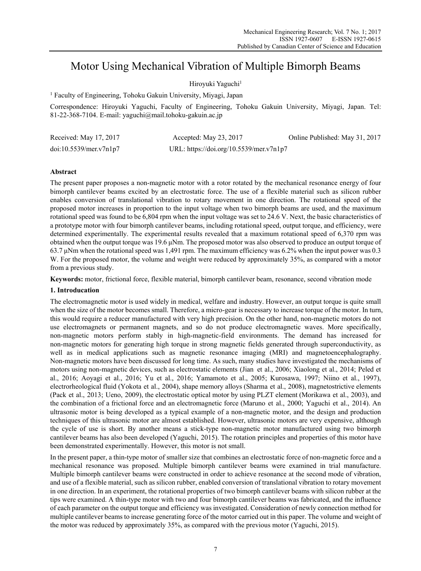# Motor Using Mechanical Vibration of Multiple Bimorph Beams

Hiroyuki Yaguchi<sup>1</sup>

<sup>1</sup> Faculty of Engineering, Tohoku Gakuin University, Miyagi, Japan

Correspondence: Hiroyuki Yaguchi, Faculty of Engineering, Tohoku Gakuin University, Miyagi, Japan. Tel: 81-22-368-7104. E-mail: yaguchi@mail.tohoku-gakuin.ac.jp

| Received: May 17, 2017 | Accepted: May $23, 2017$                | Online Published: May 31, 2017 |
|------------------------|-----------------------------------------|--------------------------------|
| doi:10.5539/mer.v7n1p7 | URL: https://doi.org/10.5539/mer.v7n1p7 |                                |

## **Abstract**

The present paper proposes a non-magnetic motor with a rotor rotated by the mechanical resonance energy of four bimorph cantilever beams excited by an electrostatic force. The use of a flexible material such as silicon rubber enables conversion of translational vibration to rotary movement in one direction. The rotational speed of the proposed motor increases in proportion to the input voltage when two bimorph beams are used, and the maximum rotational speed was found to be 6,804 rpm when the input voltage was set to 24.6 V. Next, the basic characteristics of a prototype motor with four bimorph cantilever beams, including rotational speed, output torque, and efficiency, were determined experimentally. The experimental results revealed that a maximum rotational speed of 6,370 rpm was obtained when the output torque was 19.6 μNm. The proposed motor was also observed to produce an output torque of 63.7 μNm when the rotational speed was 1,491 rpm. The maximum efficiency was 6.2% when the input power was 0.3 W. For the proposed motor, the volume and weight were reduced by approximately 35%, as compared with a motor from a previous study.

**Keywords:** motor, frictional force, flexible material, bimorph cantilever beam, resonance, second vibration mode

## **1. Introducation**

The electromagnetic motor is used widely in medical, welfare and industry. However, an output torque is quite small when the size of the motor becomes small. Therefore, a micro-gear is necessary to increase torque of the motor. In turn, this would require a reducer manufactured with very high precision. On the other hand, non-magnetic motors do not use electromagnets or permanent magnets, and so do not produce electromagnetic waves. More specifically, non-magnetic motors perform stably in high-magnetic-field environments. The demand has increased for non-magnetic motors for generating high torque in strong magnetic fields generated through superconductivity, as well as in medical applications such as magnetic resonance imaging (MRI) and magnetoencephalography. Non-magnetic motors have been discussed for long time. As such, many studies have investigated the mechanisms of motors using non-magnetic devices, such as electrostatic elements (Jian et al., 2006; Xiaolong et al., 2014; Peled et al., 2016; Aoyagi et al., 2016; Yu et al., 2016; Yamamoto et al., 2005; Kurosawa, 1997; Niino et al., 1997), electrorheological fluid (Yokota et al., 2004), shape memory alloys (Sharma et al., 2008), magnetostrictive elements (Pack et al., 2013; Ueno, 2009), the electrostatic optical motor by using PLZT element (Morikawa et al., 2003), and the combination of a frictional force and an electromagnetic force (Maruno et al., 2000; Yaguchi et al., 2014). An ultrasonic motor is being developed as a typical example of a non-magnetic motor, and the design and production techniques of this ultrasonic motor are almost established. However, ultrasonic motors are very expensive, although the cycle of use is short. By another means a stick-type non-magnetic motor manufactured using two bimorph cantilever beams has also been developed (Yaguchi, 2015). The rotation principles and properties of this motor have been demonstrated experimentally. However, this motor is not small.

In the present paper, a thin-type motor of smaller size that combines an electrostatic force of non-magnetic force and a mechanical resonance was proposed. Multiple bimorph cantilever beams were examined in trial manufacture. Multiple bimorph cantilever beams were constructed in order to achieve resonance at the second mode of vibration, and use of a flexible material, such as silicon rubber, enabled conversion of translational vibration to rotary movement in one direction. In an experiment, the rotational properties of two bimorph cantilever beams with silicon rubber at the tips were examined. A thin-type motor with two and four bimorph cantilever beams was fabricated, and the influence of each parameter on the output torque and efficiency was investigated. Consideration of newly connection method for multiple cantilever beams to increase generating force of the motor carried out in this paper. The volume and weight of the motor was reduced by approximately 35%, as compared with the previous motor (Yaguchi, 2015).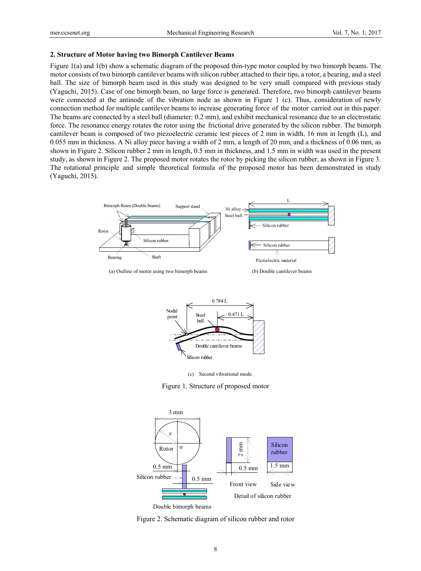#### **2. Structure of Motor having two Bimorph Cantilever Beams**

Figure 1(a) and 1(b) show a schematic diagram of the proposed thin-type motor coupled by two bimorph beams. The motor consists of two bimorph cantilever beams with silicon rubber attached to their tips, a rotor, a bearing, and a steel ball. The size of bimorph beam used in this study was designed to be very small compared with previous study (Yaguchi, 2015). Case of one bimorph beam, no large force is generated. Therefore, two bimorph cantilever beams were connected at the antinode of the vibration node as shown in Figure 1 (c). Thus, consideration of newly connection method for multiple cantilever beams to increase generating force of the motor carried out in this paper. The beams are connected by a steel ball (diameter: 0.2 mm), and exhibit mechanical resonance due to an electrostatic force. The resonance energy rotates the rotor using the frictional drive generated by the silicon rubber. The bimorph cantilever beam is composed of two piezoelectric ceramic test pieces of 2 mm in width, 16 mm in length (L), and 0.055 mm in thickness. A Ni alloy piece having a width of 2 mm, a length of 20 mm, and a thickness of 0.06 mm, as shown in Figure 2. Silicon rubber 2 mm in length, 0.5 mm in thickness, and 1.5 mm in width was used in the present study, as shown in Figure 2. The proposed motor rotates the rotor by picking the silicon rubber, as shown in Figure 3. The rotational principle and simple theoretical formula of the proposed motor has been demonstrated in study (Yaguchi, 2015).



(a) Outline of motor using two bimorph beams (b) Double cantilever beams



(c) Second vibrational mode.

Figure 1. Structure of proposed motor



Double bimorph beams

Figure 2. Schematic diagram of silicon rubber and rotor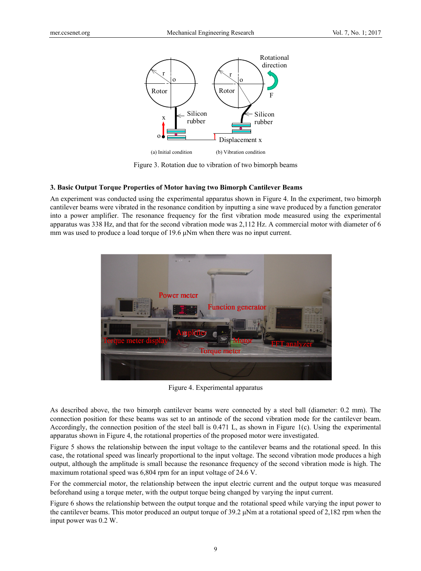

Figure 3. Rotation due to vibration of two bimorph beams

#### **3. Basic Output Torque Properties of Motor having two Bimorph Cantilever Beams**

An experiment was conducted using the experimental apparatus shown in Figure 4. In the experiment, two bimorph cantilever beams were vibrated in the resonance condition by inputting a sine wave produced by a function generator into a power amplifier. The resonance frequency for the first vibration mode measured using the experimental apparatus was 338 Hz, and that for the second vibration mode was 2,112 Hz. A commercial motor with diameter of 6 mm was used to produce a load torque of 19.6 μNm when there was no input current.



Figure 4. Experimental apparatus

As described above, the two bimorph cantilever beams were connected by a steel ball (diameter: 0.2 mm). The connection position for these beams was set to an antinode of the second vibration mode for the cantilever beam. Accordingly, the connection position of the steel ball is 0.471 L, as shown in Figure 1(c). Using the experimental apparatus shown in Figure 4, the rotational properties of the proposed motor were investigated.

Figure 5 shows the relationship between the input voltage to the cantilever beams and the rotational speed. In this case, the rotational speed was linearly proportional to the input voltage. The second vibration mode produces a high output, although the amplitude is small because the resonance frequency of the second vibration mode is high. The maximum rotational speed was 6,804 rpm for an input voltage of 24.6 V.

For the commercial motor, the relationship between the input electric current and the output torque was measured beforehand using a torque meter, with the output torque being changed by varying the input current.

Figure 6 shows the relationship between the output torque and the rotational speed while varying the input power to the cantilever beams. This motor produced an output torque of  $39.2 \mu Nm$  at a rotational speed of  $2,182$  rpm when the input power was 0.2 W.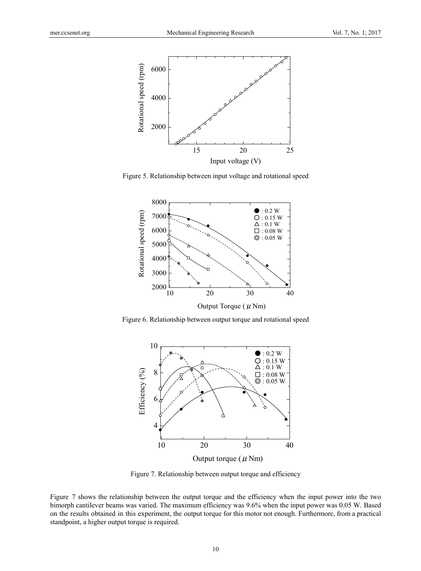

Figure 5. Relationship between input voltage and rotational speed



Figure 6. Relationship between output torque and rotational speed



Figure 7. Relationship between output torque and efficiency

Figure 7 shows the relationship between the output torque and the efficiency when the input power into the two bimorph cantilever beams was varied. The maximum efficiency was 9.6% when the input power was 0.05 W. Based on the results obtained in this experiment, the output torque for this motor not enough. Furthermore, from a practical standpoint, a higher output torque is required.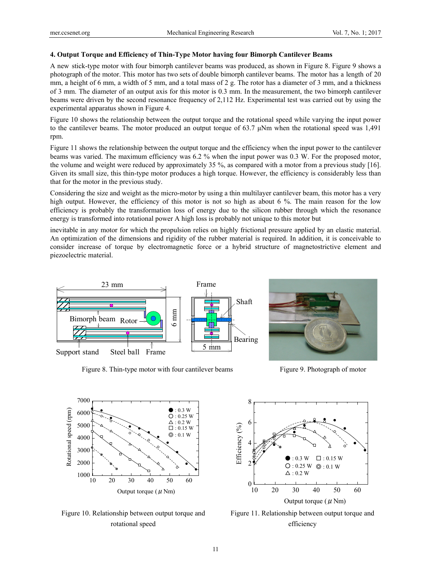#### **4. Output Torque and Efficiency of Thin-Type Motor having four Bimorph Cantilever Beams**

A new stick-type motor with four bimorph cantilever beams was produced, as shown in Figure 8. Figure 9 shows a photograph of the motor. This motor has two sets of double bimorph cantilever beams. The motor has a length of 20 mm, a height of 6 mm, a width of 5 mm, and a total mass of 2 g. The rotor has a diameter of 3 mm, and a thickness of 3 mm. The diameter of an output axis for this motor is 0.3 mm. In the measurement, the two bimorph cantilever beams were driven by the second resonance frequency of 2,112 Hz. Experimental test was carried out by using the experimental apparatus shown in Figure 4.

Figure 10 shows the relationship between the output torque and the rotational speed while varying the input power to the cantilever beams. The motor produced an output torque of 63.7 μNm when the rotational speed was 1,491 rpm.

Figure 11 shows the relationship between the output torque and the efficiency when the input power to the cantilever beams was varied. The maximum efficiency was 6.2 % when the input power was 0.3 W. For the proposed motor, the volume and weight were reduced by approximately 35 %, as compared with a motor from a previous study [16]. Given its small size, this thin-type motor produces a high torque. However, the efficiency is considerably less than that for the motor in the previous study.

Considering the size and weight as the micro-motor by using a thin multilayer cantilever beam, this motor has a very high output. However, the efficiency of this motor is not so high as about 6 %. The main reason for the low efficiency is probably the transformation loss of energy due to the silicon rubber through which the resonance energy is transformed into rotational power A high loss is probably not unique to this motor but

inevitable in any motor for which the propulsion relies on highly frictional pressure applied by an elastic material. An optimization of the dimensions and rigidity of the rubber material is required. In addition, it is conceivable to consider increase of torque by electromagnetic force or a hybrid structure of magnetostrictive element and piezoelectric material.



Figure 8. Thin-type motor with four cantilever beams Figure 9. Photograph of motor





Figure 10. Relationship between output torque and rotational speed